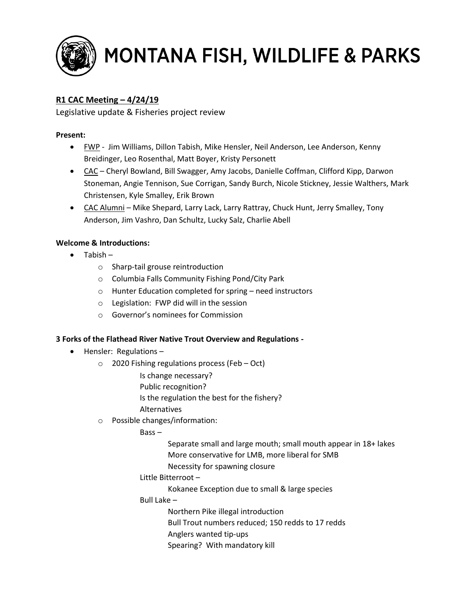

# MONTANA FISH, WILDLIFE & PARKS

## **R1 CAC Meeting – 4/24/19**

Legislative update & Fisheries project review

### **Present:**

- FWP Jim Williams, Dillon Tabish, Mike Hensler, Neil Anderson, Lee Anderson, Kenny Breidinger, Leo Rosenthal, Matt Boyer, Kristy Personett
- CAC Cheryl Bowland, Bill Swagger, Amy Jacobs, Danielle Coffman, Clifford Kipp, Darwon Stoneman, Angie Tennison, Sue Corrigan, Sandy Burch, Nicole Stickney, Jessie Walthers, Mark Christensen, Kyle Smalley, Erik Brown
- CAC Alumni Mike Shepard, Larry Lack, Larry Rattray, Chuck Hunt, Jerry Smalley, Tony Anderson, Jim Vashro, Dan Schultz, Lucky Salz, Charlie Abell

#### **Welcome & Introductions:**

- Tabish
	- o Sharp-tail grouse reintroduction
	- o Columbia Falls Community Fishing Pond/City Park
	- o Hunter Education completed for spring need instructors
	- o Legislation: FWP did will in the session
	- o Governor's nominees for Commission

#### **3 Forks of the Flathead River Native Trout Overview and Regulations -**

- Hensler: Regulations
	- o 2020 Fishing regulations process (Feb Oct)
		- Is change necessary?
		- Public recognition?
		- Is the regulation the best for the fishery?
		- Alternatives
	- o Possible changes/information:

Bass –

Separate small and large mouth; small mouth appear in 18+ lakes More conservative for LMB, more liberal for SMB

- Necessity for spawning closure
- Little Bitterroot
	- Kokanee Exception due to small & large species
- Bull Lake
	- Northern Pike illegal introduction
	- Bull Trout numbers reduced; 150 redds to 17 redds
	- Anglers wanted tip-ups
	- Spearing? With mandatory kill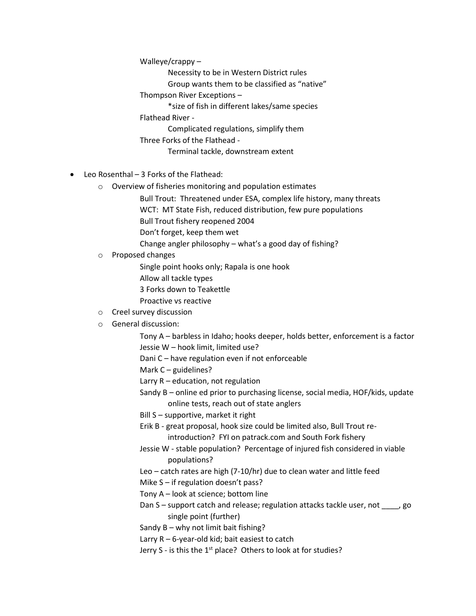Walleye/crappy –

Necessity to be in Western District rules

Group wants them to be classified as "native"

Thompson River Exceptions –

\*size of fish in different lakes/same species

Flathead River -

Complicated regulations, simplify them

Three Forks of the Flathead -

Terminal tackle, downstream extent

- Leo Rosenthal 3 Forks of the Flathead:
	- o Overview of fisheries monitoring and population estimates
		- Bull Trout: Threatened under ESA, complex life history, many threats
		- WCT: MT State Fish, reduced distribution, few pure populations

Bull Trout fishery reopened 2004

Don't forget, keep them wet

Change angler philosophy – what's a good day of fishing?

o Proposed changes

Single point hooks only; Rapala is one hook

Allow all tackle types

3 Forks down to Teakettle

- Proactive vs reactive
- o Creel survey discussion
- o General discussion:

Tony A – barbless in Idaho; hooks deeper, holds better, enforcement is a factor Jessie W – hook limit, limited use?

Dani C – have regulation even if not enforceable

Mark C – guidelines?

- Larry R education, not regulation
- Sandy B online ed prior to purchasing license, social media, HOF/kids, update online tests, reach out of state anglers
- Bill S supportive, market it right
- Erik B great proposal, hook size could be limited also, Bull Trout reintroduction? FYI on patrack.com and South Fork fishery
- Jessie W stable population? Percentage of injured fish considered in viable populations?
- Leo catch rates are high (7-10/hr) due to clean water and little feed
- Mike S if regulation doesn't pass?
- Tony A look at science; bottom line
- Dan S support catch and release; regulation attacks tackle user, not \_\_\_\_, go single point (further)
- Sandy B why not limit bait fishing?
- Larry R 6-year-old kid; bait easiest to catch
- Jerry S is this the  $1<sup>st</sup>$  place? Others to look at for studies?